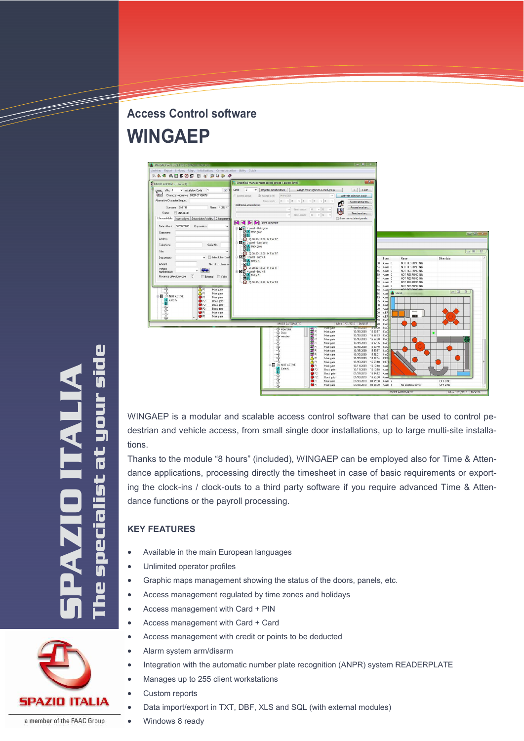# **Access Control software WINGAEP**



WINGAEP is a modular and scalable access control software that can be used to control pedestrian and vehicle access, from small single door installations, up to large multi-site installations.

Thanks to the module "8 hours" (included), WINGAEP can be employed also for Time & Attendance applications, processing directly the timesheet in case of basic requirements or exporting the clock-ins / clock-outs to a third party software if you require advanced Time & Attendance functions or the payroll processing.

### **KEY FEATURES**

- Available in the main European languages
- Unlimited operator profiles
- Graphic maps management showing the status of the doors, panels, etc.
- Access management regulated by time zones and holidays
- Access management with Card + PIN
- Access management with Card + Card
- Access management with credit or points to be deducted
- Alarm system arm/disarm
- Integration with the automatic number plate recognition (ANPR) system READERPLATE
- Manages up to 255 client workstations
- Custom reports
- Data import/export in TXT, DBF, XLS and SQL (with external modules)
- Windows 8 ready



TIME STRUCK SERVICE STRUCK SERVICE STRUCK SERVICE STRUCK SERVICE STRUCK SERVICE STRUCK SERVICE STRUCK SERVICE



a member of the FAAC Group